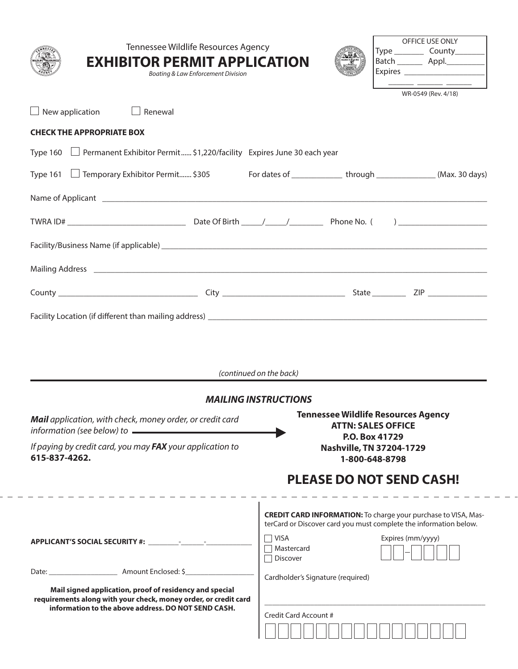| Tennessee Wildlife Resources Agency<br><b>EXHIBITOR PERMIT APPLICATION</b><br>Boating & Law Enforcement Division                                                                  |                                   | OFFICE USE ONLY<br>Type ____________ County__________ <br>Batch ___________ Appl.____________                                                                   |
|-----------------------------------------------------------------------------------------------------------------------------------------------------------------------------------|-----------------------------------|-----------------------------------------------------------------------------------------------------------------------------------------------------------------|
| $\Box$ New application<br>$\Box$ Renewal                                                                                                                                          |                                   | WR-0549 (Rev. 4/18)                                                                                                                                             |
| <b>CHECK THE APPROPRIATE BOX</b>                                                                                                                                                  |                                   |                                                                                                                                                                 |
| Type 160 $\Box$ Permanent Exhibitor Permit \$1,220/facility Expires June 30 each year                                                                                             |                                   |                                                                                                                                                                 |
| Type 161 □ Temporary Exhibitor Permit \$305 For dates of _____________ through ____________(Max. 30 days)                                                                         |                                   |                                                                                                                                                                 |
|                                                                                                                                                                                   |                                   |                                                                                                                                                                 |
|                                                                                                                                                                                   |                                   |                                                                                                                                                                 |
|                                                                                                                                                                                   |                                   |                                                                                                                                                                 |
|                                                                                                                                                                                   |                                   |                                                                                                                                                                 |
|                                                                                                                                                                                   |                                   |                                                                                                                                                                 |
|                                                                                                                                                                                   |                                   |                                                                                                                                                                 |
|                                                                                                                                                                                   | (continued on the back)           |                                                                                                                                                                 |
| <b>Mail</b> application, with check, money order, or credit card<br>information (see below) to $\qquad \qquad$                                                                    | <b>MAILING INSTRUCTIONS</b>       | <b>Tennessee Wildlife Resources Agency</b><br><b>ATTN: SALES OFFICE</b>                                                                                         |
| If paying by credit card, you may FAX your application to<br>615-837-4262.                                                                                                        |                                   | P.O. Box 41729<br>Nashville, TN 37204-1729<br>1-800-648-8798                                                                                                    |
|                                                                                                                                                                                   |                                   | <b>PLEASE DO NOT SEND CASH!</b>                                                                                                                                 |
|                                                                                                                                                                                   | $\Box$ VISA                       | <b>CREDIT CARD INFORMATION:</b> To charge your purchase to VISA, Mas-<br>terCard or Discover card you must complete the information below.<br>Expires (mm/yyyy) |
|                                                                                                                                                                                   | □ Mastercard<br>Discover          |                                                                                                                                                                 |
| Mail signed application, proof of residency and special<br>requirements along with your check, money order, or credit card<br>information to the above address. DO NOT SEND CASH. | Cardholder's Signature (required) |                                                                                                                                                                 |